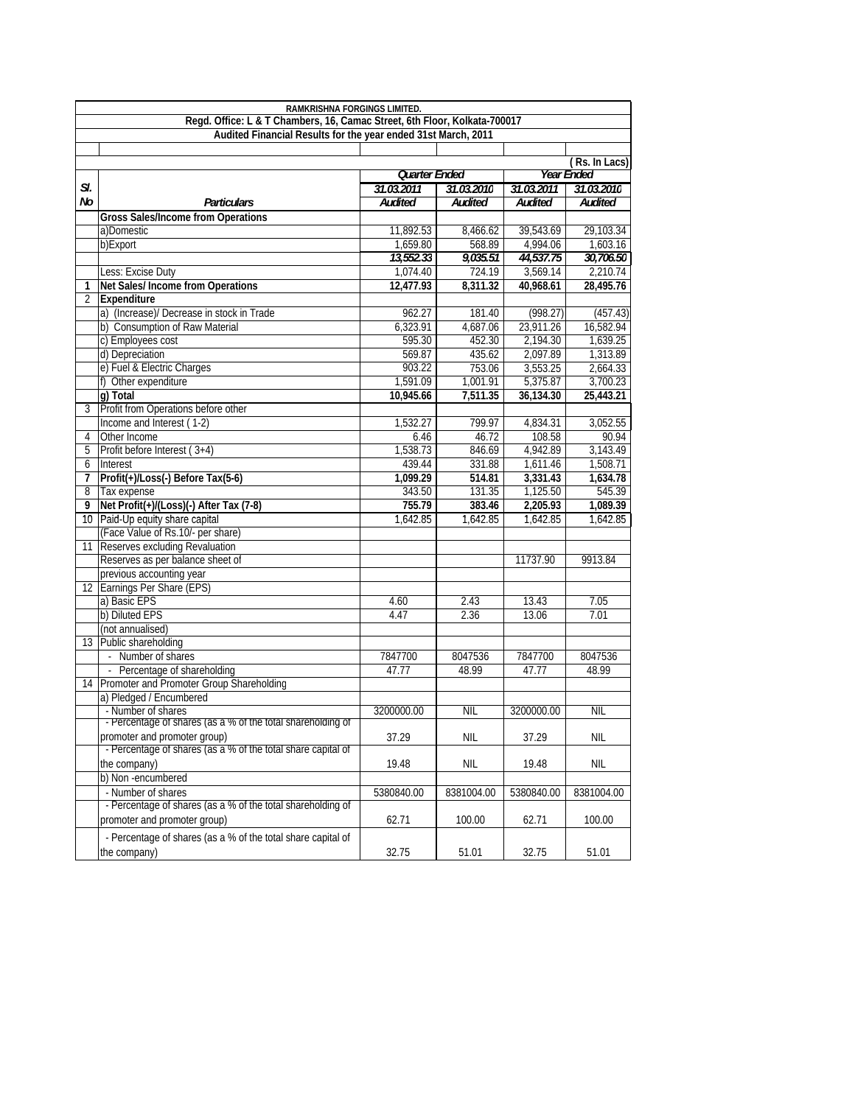| Audited Financial Results for the year ended 31st March, 2011<br>(Rs. In Lacs)<br>Quarter Ended<br><b>Year Ended</b><br>SI.<br>31.03.2011<br>31.03.2010<br>31.03.2011<br>31.03.2010<br>No<br><b>Audited</b><br><b>Audited</b><br>Audited<br><b>Audited</b><br><b>Particulars</b><br><b>Gross Sales/Income from Operations</b><br>11,892.53<br>a)Domestic<br>8,466.62<br>39,543.69<br>29,103.34<br>b)Export<br>1,659.80<br>4,994.06<br>1,603.16<br>568.89<br>30,706.50<br>13,552.33<br>9,035.51<br>44,537.75<br>724.19<br>3,569.14<br>2,210.74<br>Less: Excise Duty<br>1,074.40<br>Net Sales/ Income from Operations<br>28,495.76<br>12,477.93<br>8,311.32<br>40,968.61<br>1<br>Expenditure<br>2<br>a) (Increase)/ Decrease in stock in Trade<br>962.27<br>181.40<br>(998.27)<br>(457.43)<br>b) Consumption of Raw Material<br>6,323.91<br>4,687.06<br>23,911.26<br>16,582.94<br>c) Employees cost<br>595.30<br>452.30<br>2,194.30<br>1,639.25<br>2,097.89<br>d) Depreciation<br>569.87<br>435.62<br>1,313.89<br>e) Fuel & Electric Charges<br>903.22<br>753.06<br>3,553.25<br>2,664.33<br>1,591.09<br>1,001.91<br>5,375.87<br>3,700.23<br>f) Other expenditure<br>g) Total<br>10.945.66<br>7,511.35<br>36,134.30<br>25,443.21<br>Profit from Operations before other<br>3<br>Income and Interest (1-2)<br>799.97<br>1,532.27<br>4,834.31<br>3,052.55<br>Other Income<br>46.72<br>108.58<br>90.94<br>6.46<br>4<br>1,538.73<br>4,942.89<br>Profit before Interest (3+4)<br>846.69<br>3,143.49<br>5<br>439.44<br>1,611.46<br>1,508.71<br>331.88<br>6<br>Interest<br>Profit(+)/Loss(-) Before Tax(5-6)<br>1,099.29<br>3,331.43<br>1,634.78<br>514.81<br>7<br>1,125.50<br>545.39<br>Tax expense<br>343.50<br>131.35<br>8<br>Net Profit(+)/(Loss)(-) After Tax (7-8)<br>9<br>755.79<br>383.46<br>2,205.93<br>1,089.39<br>Paid-Up equity share capital<br>1,642.85<br>1,642.85<br>1,642.85<br>10 I<br>1,642.85<br>(Face Value of Rs.10/- per share)<br>Reserves excluding Revaluation<br>11<br>Reserves as per balance sheet of<br>11737.90<br>9913.84<br>previous accounting year<br>12 Earnings Per Share (EPS)<br>a) Basic EPS<br>13.43<br>4.60<br>2.43<br>7.05<br>b) Diluted EPS<br>4.47<br>2.36<br>13.06<br>7.01<br>(not annualised)<br>Public shareholding<br>13 <sup>1</sup><br>- Number of shares<br>7847700<br>8047536<br>7847700<br>8047536<br>- Percentage of shareholding<br>47.77<br>48.99<br>47.77<br>48.99<br>Promoter and Promoter Group Shareholding<br>14<br>a) Pledged / Encumbered<br>- Number of shares<br>3200000.00<br><b>NIL</b><br>3200000.00<br><b>NIL</b><br>- Percentage of shares (as a % of the total shareholding of<br>promoter and promoter group)<br>37.29<br><b>NIL</b><br>37.29<br><b>NIL</b><br>- Percentage of shares (as a % of the total share capital of<br>the company)<br>19.48<br>NIL<br>19.48<br>NIL<br>b) Non-encumbered<br>- Number of shares<br>5380840.00<br>8381004.00<br>5380840.00<br>8381004.00<br>- Percentage of shares (as a % of the total shareholding of<br>promoter and promoter group)<br>62.71<br>100.00<br>62.71<br>100.00<br>- Percentage of shares (as a % of the total share capital of<br>the company)<br>32.75<br>32.75<br>51.01<br>51.01 | RAMKRISHNA FORGINGS LIMITED.                                              |  |  |  |  |  |  |  |  |  |
|--------------------------------------------------------------------------------------------------------------------------------------------------------------------------------------------------------------------------------------------------------------------------------------------------------------------------------------------------------------------------------------------------------------------------------------------------------------------------------------------------------------------------------------------------------------------------------------------------------------------------------------------------------------------------------------------------------------------------------------------------------------------------------------------------------------------------------------------------------------------------------------------------------------------------------------------------------------------------------------------------------------------------------------------------------------------------------------------------------------------------------------------------------------------------------------------------------------------------------------------------------------------------------------------------------------------------------------------------------------------------------------------------------------------------------------------------------------------------------------------------------------------------------------------------------------------------------------------------------------------------------------------------------------------------------------------------------------------------------------------------------------------------------------------------------------------------------------------------------------------------------------------------------------------------------------------------------------------------------------------------------------------------------------------------------------------------------------------------------------------------------------------------------------------------------------------------------------------------------------------------------------------------------------------------------------------------------------------------------------------------------------------------------------------------------------------------------------------------------------------------------------------------------------------------------------------------------------------------------------------------------------------------------------------------------------------------------------------------------------------------------------------------------------------------------------------------------------------------------------------------------------------------------------------------------------------------------------------------------------------------------------------------------------------------------------------------------------------------------------------------------------------------------------------------------------------------------|---------------------------------------------------------------------------|--|--|--|--|--|--|--|--|--|
|                                                                                                                                                                                                                                                                                                                                                                                                                                                                                                                                                                                                                                                                                                                                                                                                                                                                                                                                                                                                                                                                                                                                                                                                                                                                                                                                                                                                                                                                                                                                                                                                                                                                                                                                                                                                                                                                                                                                                                                                                                                                                                                                                                                                                                                                                                                                                                                                                                                                                                                                                                                                                                                                                                                                                                                                                                                                                                                                                                                                                                                                                                                                                                                                        | Regd. Office: L & T Chambers, 16, Camac Street, 6th Floor, Kolkata-700017 |  |  |  |  |  |  |  |  |  |
|                                                                                                                                                                                                                                                                                                                                                                                                                                                                                                                                                                                                                                                                                                                                                                                                                                                                                                                                                                                                                                                                                                                                                                                                                                                                                                                                                                                                                                                                                                                                                                                                                                                                                                                                                                                                                                                                                                                                                                                                                                                                                                                                                                                                                                                                                                                                                                                                                                                                                                                                                                                                                                                                                                                                                                                                                                                                                                                                                                                                                                                                                                                                                                                                        |                                                                           |  |  |  |  |  |  |  |  |  |
|                                                                                                                                                                                                                                                                                                                                                                                                                                                                                                                                                                                                                                                                                                                                                                                                                                                                                                                                                                                                                                                                                                                                                                                                                                                                                                                                                                                                                                                                                                                                                                                                                                                                                                                                                                                                                                                                                                                                                                                                                                                                                                                                                                                                                                                                                                                                                                                                                                                                                                                                                                                                                                                                                                                                                                                                                                                                                                                                                                                                                                                                                                                                                                                                        |                                                                           |  |  |  |  |  |  |  |  |  |
|                                                                                                                                                                                                                                                                                                                                                                                                                                                                                                                                                                                                                                                                                                                                                                                                                                                                                                                                                                                                                                                                                                                                                                                                                                                                                                                                                                                                                                                                                                                                                                                                                                                                                                                                                                                                                                                                                                                                                                                                                                                                                                                                                                                                                                                                                                                                                                                                                                                                                                                                                                                                                                                                                                                                                                                                                                                                                                                                                                                                                                                                                                                                                                                                        |                                                                           |  |  |  |  |  |  |  |  |  |
|                                                                                                                                                                                                                                                                                                                                                                                                                                                                                                                                                                                                                                                                                                                                                                                                                                                                                                                                                                                                                                                                                                                                                                                                                                                                                                                                                                                                                                                                                                                                                                                                                                                                                                                                                                                                                                                                                                                                                                                                                                                                                                                                                                                                                                                                                                                                                                                                                                                                                                                                                                                                                                                                                                                                                                                                                                                                                                                                                                                                                                                                                                                                                                                                        |                                                                           |  |  |  |  |  |  |  |  |  |
|                                                                                                                                                                                                                                                                                                                                                                                                                                                                                                                                                                                                                                                                                                                                                                                                                                                                                                                                                                                                                                                                                                                                                                                                                                                                                                                                                                                                                                                                                                                                                                                                                                                                                                                                                                                                                                                                                                                                                                                                                                                                                                                                                                                                                                                                                                                                                                                                                                                                                                                                                                                                                                                                                                                                                                                                                                                                                                                                                                                                                                                                                                                                                                                                        |                                                                           |  |  |  |  |  |  |  |  |  |
|                                                                                                                                                                                                                                                                                                                                                                                                                                                                                                                                                                                                                                                                                                                                                                                                                                                                                                                                                                                                                                                                                                                                                                                                                                                                                                                                                                                                                                                                                                                                                                                                                                                                                                                                                                                                                                                                                                                                                                                                                                                                                                                                                                                                                                                                                                                                                                                                                                                                                                                                                                                                                                                                                                                                                                                                                                                                                                                                                                                                                                                                                                                                                                                                        |                                                                           |  |  |  |  |  |  |  |  |  |
|                                                                                                                                                                                                                                                                                                                                                                                                                                                                                                                                                                                                                                                                                                                                                                                                                                                                                                                                                                                                                                                                                                                                                                                                                                                                                                                                                                                                                                                                                                                                                                                                                                                                                                                                                                                                                                                                                                                                                                                                                                                                                                                                                                                                                                                                                                                                                                                                                                                                                                                                                                                                                                                                                                                                                                                                                                                                                                                                                                                                                                                                                                                                                                                                        |                                                                           |  |  |  |  |  |  |  |  |  |
|                                                                                                                                                                                                                                                                                                                                                                                                                                                                                                                                                                                                                                                                                                                                                                                                                                                                                                                                                                                                                                                                                                                                                                                                                                                                                                                                                                                                                                                                                                                                                                                                                                                                                                                                                                                                                                                                                                                                                                                                                                                                                                                                                                                                                                                                                                                                                                                                                                                                                                                                                                                                                                                                                                                                                                                                                                                                                                                                                                                                                                                                                                                                                                                                        |                                                                           |  |  |  |  |  |  |  |  |  |
|                                                                                                                                                                                                                                                                                                                                                                                                                                                                                                                                                                                                                                                                                                                                                                                                                                                                                                                                                                                                                                                                                                                                                                                                                                                                                                                                                                                                                                                                                                                                                                                                                                                                                                                                                                                                                                                                                                                                                                                                                                                                                                                                                                                                                                                                                                                                                                                                                                                                                                                                                                                                                                                                                                                                                                                                                                                                                                                                                                                                                                                                                                                                                                                                        |                                                                           |  |  |  |  |  |  |  |  |  |
|                                                                                                                                                                                                                                                                                                                                                                                                                                                                                                                                                                                                                                                                                                                                                                                                                                                                                                                                                                                                                                                                                                                                                                                                                                                                                                                                                                                                                                                                                                                                                                                                                                                                                                                                                                                                                                                                                                                                                                                                                                                                                                                                                                                                                                                                                                                                                                                                                                                                                                                                                                                                                                                                                                                                                                                                                                                                                                                                                                                                                                                                                                                                                                                                        |                                                                           |  |  |  |  |  |  |  |  |  |
|                                                                                                                                                                                                                                                                                                                                                                                                                                                                                                                                                                                                                                                                                                                                                                                                                                                                                                                                                                                                                                                                                                                                                                                                                                                                                                                                                                                                                                                                                                                                                                                                                                                                                                                                                                                                                                                                                                                                                                                                                                                                                                                                                                                                                                                                                                                                                                                                                                                                                                                                                                                                                                                                                                                                                                                                                                                                                                                                                                                                                                                                                                                                                                                                        |                                                                           |  |  |  |  |  |  |  |  |  |
|                                                                                                                                                                                                                                                                                                                                                                                                                                                                                                                                                                                                                                                                                                                                                                                                                                                                                                                                                                                                                                                                                                                                                                                                                                                                                                                                                                                                                                                                                                                                                                                                                                                                                                                                                                                                                                                                                                                                                                                                                                                                                                                                                                                                                                                                                                                                                                                                                                                                                                                                                                                                                                                                                                                                                                                                                                                                                                                                                                                                                                                                                                                                                                                                        |                                                                           |  |  |  |  |  |  |  |  |  |
|                                                                                                                                                                                                                                                                                                                                                                                                                                                                                                                                                                                                                                                                                                                                                                                                                                                                                                                                                                                                                                                                                                                                                                                                                                                                                                                                                                                                                                                                                                                                                                                                                                                                                                                                                                                                                                                                                                                                                                                                                                                                                                                                                                                                                                                                                                                                                                                                                                                                                                                                                                                                                                                                                                                                                                                                                                                                                                                                                                                                                                                                                                                                                                                                        |                                                                           |  |  |  |  |  |  |  |  |  |
|                                                                                                                                                                                                                                                                                                                                                                                                                                                                                                                                                                                                                                                                                                                                                                                                                                                                                                                                                                                                                                                                                                                                                                                                                                                                                                                                                                                                                                                                                                                                                                                                                                                                                                                                                                                                                                                                                                                                                                                                                                                                                                                                                                                                                                                                                                                                                                                                                                                                                                                                                                                                                                                                                                                                                                                                                                                                                                                                                                                                                                                                                                                                                                                                        |                                                                           |  |  |  |  |  |  |  |  |  |
|                                                                                                                                                                                                                                                                                                                                                                                                                                                                                                                                                                                                                                                                                                                                                                                                                                                                                                                                                                                                                                                                                                                                                                                                                                                                                                                                                                                                                                                                                                                                                                                                                                                                                                                                                                                                                                                                                                                                                                                                                                                                                                                                                                                                                                                                                                                                                                                                                                                                                                                                                                                                                                                                                                                                                                                                                                                                                                                                                                                                                                                                                                                                                                                                        |                                                                           |  |  |  |  |  |  |  |  |  |
|                                                                                                                                                                                                                                                                                                                                                                                                                                                                                                                                                                                                                                                                                                                                                                                                                                                                                                                                                                                                                                                                                                                                                                                                                                                                                                                                                                                                                                                                                                                                                                                                                                                                                                                                                                                                                                                                                                                                                                                                                                                                                                                                                                                                                                                                                                                                                                                                                                                                                                                                                                                                                                                                                                                                                                                                                                                                                                                                                                                                                                                                                                                                                                                                        |                                                                           |  |  |  |  |  |  |  |  |  |
|                                                                                                                                                                                                                                                                                                                                                                                                                                                                                                                                                                                                                                                                                                                                                                                                                                                                                                                                                                                                                                                                                                                                                                                                                                                                                                                                                                                                                                                                                                                                                                                                                                                                                                                                                                                                                                                                                                                                                                                                                                                                                                                                                                                                                                                                                                                                                                                                                                                                                                                                                                                                                                                                                                                                                                                                                                                                                                                                                                                                                                                                                                                                                                                                        |                                                                           |  |  |  |  |  |  |  |  |  |
|                                                                                                                                                                                                                                                                                                                                                                                                                                                                                                                                                                                                                                                                                                                                                                                                                                                                                                                                                                                                                                                                                                                                                                                                                                                                                                                                                                                                                                                                                                                                                                                                                                                                                                                                                                                                                                                                                                                                                                                                                                                                                                                                                                                                                                                                                                                                                                                                                                                                                                                                                                                                                                                                                                                                                                                                                                                                                                                                                                                                                                                                                                                                                                                                        |                                                                           |  |  |  |  |  |  |  |  |  |
|                                                                                                                                                                                                                                                                                                                                                                                                                                                                                                                                                                                                                                                                                                                                                                                                                                                                                                                                                                                                                                                                                                                                                                                                                                                                                                                                                                                                                                                                                                                                                                                                                                                                                                                                                                                                                                                                                                                                                                                                                                                                                                                                                                                                                                                                                                                                                                                                                                                                                                                                                                                                                                                                                                                                                                                                                                                                                                                                                                                                                                                                                                                                                                                                        |                                                                           |  |  |  |  |  |  |  |  |  |
|                                                                                                                                                                                                                                                                                                                                                                                                                                                                                                                                                                                                                                                                                                                                                                                                                                                                                                                                                                                                                                                                                                                                                                                                                                                                                                                                                                                                                                                                                                                                                                                                                                                                                                                                                                                                                                                                                                                                                                                                                                                                                                                                                                                                                                                                                                                                                                                                                                                                                                                                                                                                                                                                                                                                                                                                                                                                                                                                                                                                                                                                                                                                                                                                        |                                                                           |  |  |  |  |  |  |  |  |  |
|                                                                                                                                                                                                                                                                                                                                                                                                                                                                                                                                                                                                                                                                                                                                                                                                                                                                                                                                                                                                                                                                                                                                                                                                                                                                                                                                                                                                                                                                                                                                                                                                                                                                                                                                                                                                                                                                                                                                                                                                                                                                                                                                                                                                                                                                                                                                                                                                                                                                                                                                                                                                                                                                                                                                                                                                                                                                                                                                                                                                                                                                                                                                                                                                        |                                                                           |  |  |  |  |  |  |  |  |  |
|                                                                                                                                                                                                                                                                                                                                                                                                                                                                                                                                                                                                                                                                                                                                                                                                                                                                                                                                                                                                                                                                                                                                                                                                                                                                                                                                                                                                                                                                                                                                                                                                                                                                                                                                                                                                                                                                                                                                                                                                                                                                                                                                                                                                                                                                                                                                                                                                                                                                                                                                                                                                                                                                                                                                                                                                                                                                                                                                                                                                                                                                                                                                                                                                        |                                                                           |  |  |  |  |  |  |  |  |  |
|                                                                                                                                                                                                                                                                                                                                                                                                                                                                                                                                                                                                                                                                                                                                                                                                                                                                                                                                                                                                                                                                                                                                                                                                                                                                                                                                                                                                                                                                                                                                                                                                                                                                                                                                                                                                                                                                                                                                                                                                                                                                                                                                                                                                                                                                                                                                                                                                                                                                                                                                                                                                                                                                                                                                                                                                                                                                                                                                                                                                                                                                                                                                                                                                        |                                                                           |  |  |  |  |  |  |  |  |  |
|                                                                                                                                                                                                                                                                                                                                                                                                                                                                                                                                                                                                                                                                                                                                                                                                                                                                                                                                                                                                                                                                                                                                                                                                                                                                                                                                                                                                                                                                                                                                                                                                                                                                                                                                                                                                                                                                                                                                                                                                                                                                                                                                                                                                                                                                                                                                                                                                                                                                                                                                                                                                                                                                                                                                                                                                                                                                                                                                                                                                                                                                                                                                                                                                        |                                                                           |  |  |  |  |  |  |  |  |  |
|                                                                                                                                                                                                                                                                                                                                                                                                                                                                                                                                                                                                                                                                                                                                                                                                                                                                                                                                                                                                                                                                                                                                                                                                                                                                                                                                                                                                                                                                                                                                                                                                                                                                                                                                                                                                                                                                                                                                                                                                                                                                                                                                                                                                                                                                                                                                                                                                                                                                                                                                                                                                                                                                                                                                                                                                                                                                                                                                                                                                                                                                                                                                                                                                        |                                                                           |  |  |  |  |  |  |  |  |  |
|                                                                                                                                                                                                                                                                                                                                                                                                                                                                                                                                                                                                                                                                                                                                                                                                                                                                                                                                                                                                                                                                                                                                                                                                                                                                                                                                                                                                                                                                                                                                                                                                                                                                                                                                                                                                                                                                                                                                                                                                                                                                                                                                                                                                                                                                                                                                                                                                                                                                                                                                                                                                                                                                                                                                                                                                                                                                                                                                                                                                                                                                                                                                                                                                        |                                                                           |  |  |  |  |  |  |  |  |  |
|                                                                                                                                                                                                                                                                                                                                                                                                                                                                                                                                                                                                                                                                                                                                                                                                                                                                                                                                                                                                                                                                                                                                                                                                                                                                                                                                                                                                                                                                                                                                                                                                                                                                                                                                                                                                                                                                                                                                                                                                                                                                                                                                                                                                                                                                                                                                                                                                                                                                                                                                                                                                                                                                                                                                                                                                                                                                                                                                                                                                                                                                                                                                                                                                        |                                                                           |  |  |  |  |  |  |  |  |  |
|                                                                                                                                                                                                                                                                                                                                                                                                                                                                                                                                                                                                                                                                                                                                                                                                                                                                                                                                                                                                                                                                                                                                                                                                                                                                                                                                                                                                                                                                                                                                                                                                                                                                                                                                                                                                                                                                                                                                                                                                                                                                                                                                                                                                                                                                                                                                                                                                                                                                                                                                                                                                                                                                                                                                                                                                                                                                                                                                                                                                                                                                                                                                                                                                        |                                                                           |  |  |  |  |  |  |  |  |  |
|                                                                                                                                                                                                                                                                                                                                                                                                                                                                                                                                                                                                                                                                                                                                                                                                                                                                                                                                                                                                                                                                                                                                                                                                                                                                                                                                                                                                                                                                                                                                                                                                                                                                                                                                                                                                                                                                                                                                                                                                                                                                                                                                                                                                                                                                                                                                                                                                                                                                                                                                                                                                                                                                                                                                                                                                                                                                                                                                                                                                                                                                                                                                                                                                        |                                                                           |  |  |  |  |  |  |  |  |  |
|                                                                                                                                                                                                                                                                                                                                                                                                                                                                                                                                                                                                                                                                                                                                                                                                                                                                                                                                                                                                                                                                                                                                                                                                                                                                                                                                                                                                                                                                                                                                                                                                                                                                                                                                                                                                                                                                                                                                                                                                                                                                                                                                                                                                                                                                                                                                                                                                                                                                                                                                                                                                                                                                                                                                                                                                                                                                                                                                                                                                                                                                                                                                                                                                        |                                                                           |  |  |  |  |  |  |  |  |  |
|                                                                                                                                                                                                                                                                                                                                                                                                                                                                                                                                                                                                                                                                                                                                                                                                                                                                                                                                                                                                                                                                                                                                                                                                                                                                                                                                                                                                                                                                                                                                                                                                                                                                                                                                                                                                                                                                                                                                                                                                                                                                                                                                                                                                                                                                                                                                                                                                                                                                                                                                                                                                                                                                                                                                                                                                                                                                                                                                                                                                                                                                                                                                                                                                        |                                                                           |  |  |  |  |  |  |  |  |  |
|                                                                                                                                                                                                                                                                                                                                                                                                                                                                                                                                                                                                                                                                                                                                                                                                                                                                                                                                                                                                                                                                                                                                                                                                                                                                                                                                                                                                                                                                                                                                                                                                                                                                                                                                                                                                                                                                                                                                                                                                                                                                                                                                                                                                                                                                                                                                                                                                                                                                                                                                                                                                                                                                                                                                                                                                                                                                                                                                                                                                                                                                                                                                                                                                        |                                                                           |  |  |  |  |  |  |  |  |  |
|                                                                                                                                                                                                                                                                                                                                                                                                                                                                                                                                                                                                                                                                                                                                                                                                                                                                                                                                                                                                                                                                                                                                                                                                                                                                                                                                                                                                                                                                                                                                                                                                                                                                                                                                                                                                                                                                                                                                                                                                                                                                                                                                                                                                                                                                                                                                                                                                                                                                                                                                                                                                                                                                                                                                                                                                                                                                                                                                                                                                                                                                                                                                                                                                        |                                                                           |  |  |  |  |  |  |  |  |  |
|                                                                                                                                                                                                                                                                                                                                                                                                                                                                                                                                                                                                                                                                                                                                                                                                                                                                                                                                                                                                                                                                                                                                                                                                                                                                                                                                                                                                                                                                                                                                                                                                                                                                                                                                                                                                                                                                                                                                                                                                                                                                                                                                                                                                                                                                                                                                                                                                                                                                                                                                                                                                                                                                                                                                                                                                                                                                                                                                                                                                                                                                                                                                                                                                        |                                                                           |  |  |  |  |  |  |  |  |  |
|                                                                                                                                                                                                                                                                                                                                                                                                                                                                                                                                                                                                                                                                                                                                                                                                                                                                                                                                                                                                                                                                                                                                                                                                                                                                                                                                                                                                                                                                                                                                                                                                                                                                                                                                                                                                                                                                                                                                                                                                                                                                                                                                                                                                                                                                                                                                                                                                                                                                                                                                                                                                                                                                                                                                                                                                                                                                                                                                                                                                                                                                                                                                                                                                        |                                                                           |  |  |  |  |  |  |  |  |  |
|                                                                                                                                                                                                                                                                                                                                                                                                                                                                                                                                                                                                                                                                                                                                                                                                                                                                                                                                                                                                                                                                                                                                                                                                                                                                                                                                                                                                                                                                                                                                                                                                                                                                                                                                                                                                                                                                                                                                                                                                                                                                                                                                                                                                                                                                                                                                                                                                                                                                                                                                                                                                                                                                                                                                                                                                                                                                                                                                                                                                                                                                                                                                                                                                        |                                                                           |  |  |  |  |  |  |  |  |  |
|                                                                                                                                                                                                                                                                                                                                                                                                                                                                                                                                                                                                                                                                                                                                                                                                                                                                                                                                                                                                                                                                                                                                                                                                                                                                                                                                                                                                                                                                                                                                                                                                                                                                                                                                                                                                                                                                                                                                                                                                                                                                                                                                                                                                                                                                                                                                                                                                                                                                                                                                                                                                                                                                                                                                                                                                                                                                                                                                                                                                                                                                                                                                                                                                        |                                                                           |  |  |  |  |  |  |  |  |  |
|                                                                                                                                                                                                                                                                                                                                                                                                                                                                                                                                                                                                                                                                                                                                                                                                                                                                                                                                                                                                                                                                                                                                                                                                                                                                                                                                                                                                                                                                                                                                                                                                                                                                                                                                                                                                                                                                                                                                                                                                                                                                                                                                                                                                                                                                                                                                                                                                                                                                                                                                                                                                                                                                                                                                                                                                                                                                                                                                                                                                                                                                                                                                                                                                        |                                                                           |  |  |  |  |  |  |  |  |  |
|                                                                                                                                                                                                                                                                                                                                                                                                                                                                                                                                                                                                                                                                                                                                                                                                                                                                                                                                                                                                                                                                                                                                                                                                                                                                                                                                                                                                                                                                                                                                                                                                                                                                                                                                                                                                                                                                                                                                                                                                                                                                                                                                                                                                                                                                                                                                                                                                                                                                                                                                                                                                                                                                                                                                                                                                                                                                                                                                                                                                                                                                                                                                                                                                        |                                                                           |  |  |  |  |  |  |  |  |  |
|                                                                                                                                                                                                                                                                                                                                                                                                                                                                                                                                                                                                                                                                                                                                                                                                                                                                                                                                                                                                                                                                                                                                                                                                                                                                                                                                                                                                                                                                                                                                                                                                                                                                                                                                                                                                                                                                                                                                                                                                                                                                                                                                                                                                                                                                                                                                                                                                                                                                                                                                                                                                                                                                                                                                                                                                                                                                                                                                                                                                                                                                                                                                                                                                        |                                                                           |  |  |  |  |  |  |  |  |  |
|                                                                                                                                                                                                                                                                                                                                                                                                                                                                                                                                                                                                                                                                                                                                                                                                                                                                                                                                                                                                                                                                                                                                                                                                                                                                                                                                                                                                                                                                                                                                                                                                                                                                                                                                                                                                                                                                                                                                                                                                                                                                                                                                                                                                                                                                                                                                                                                                                                                                                                                                                                                                                                                                                                                                                                                                                                                                                                                                                                                                                                                                                                                                                                                                        |                                                                           |  |  |  |  |  |  |  |  |  |
|                                                                                                                                                                                                                                                                                                                                                                                                                                                                                                                                                                                                                                                                                                                                                                                                                                                                                                                                                                                                                                                                                                                                                                                                                                                                                                                                                                                                                                                                                                                                                                                                                                                                                                                                                                                                                                                                                                                                                                                                                                                                                                                                                                                                                                                                                                                                                                                                                                                                                                                                                                                                                                                                                                                                                                                                                                                                                                                                                                                                                                                                                                                                                                                                        |                                                                           |  |  |  |  |  |  |  |  |  |
|                                                                                                                                                                                                                                                                                                                                                                                                                                                                                                                                                                                                                                                                                                                                                                                                                                                                                                                                                                                                                                                                                                                                                                                                                                                                                                                                                                                                                                                                                                                                                                                                                                                                                                                                                                                                                                                                                                                                                                                                                                                                                                                                                                                                                                                                                                                                                                                                                                                                                                                                                                                                                                                                                                                                                                                                                                                                                                                                                                                                                                                                                                                                                                                                        |                                                                           |  |  |  |  |  |  |  |  |  |
|                                                                                                                                                                                                                                                                                                                                                                                                                                                                                                                                                                                                                                                                                                                                                                                                                                                                                                                                                                                                                                                                                                                                                                                                                                                                                                                                                                                                                                                                                                                                                                                                                                                                                                                                                                                                                                                                                                                                                                                                                                                                                                                                                                                                                                                                                                                                                                                                                                                                                                                                                                                                                                                                                                                                                                                                                                                                                                                                                                                                                                                                                                                                                                                                        |                                                                           |  |  |  |  |  |  |  |  |  |
|                                                                                                                                                                                                                                                                                                                                                                                                                                                                                                                                                                                                                                                                                                                                                                                                                                                                                                                                                                                                                                                                                                                                                                                                                                                                                                                                                                                                                                                                                                                                                                                                                                                                                                                                                                                                                                                                                                                                                                                                                                                                                                                                                                                                                                                                                                                                                                                                                                                                                                                                                                                                                                                                                                                                                                                                                                                                                                                                                                                                                                                                                                                                                                                                        |                                                                           |  |  |  |  |  |  |  |  |  |
|                                                                                                                                                                                                                                                                                                                                                                                                                                                                                                                                                                                                                                                                                                                                                                                                                                                                                                                                                                                                                                                                                                                                                                                                                                                                                                                                                                                                                                                                                                                                                                                                                                                                                                                                                                                                                                                                                                                                                                                                                                                                                                                                                                                                                                                                                                                                                                                                                                                                                                                                                                                                                                                                                                                                                                                                                                                                                                                                                                                                                                                                                                                                                                                                        |                                                                           |  |  |  |  |  |  |  |  |  |
|                                                                                                                                                                                                                                                                                                                                                                                                                                                                                                                                                                                                                                                                                                                                                                                                                                                                                                                                                                                                                                                                                                                                                                                                                                                                                                                                                                                                                                                                                                                                                                                                                                                                                                                                                                                                                                                                                                                                                                                                                                                                                                                                                                                                                                                                                                                                                                                                                                                                                                                                                                                                                                                                                                                                                                                                                                                                                                                                                                                                                                                                                                                                                                                                        |                                                                           |  |  |  |  |  |  |  |  |  |
|                                                                                                                                                                                                                                                                                                                                                                                                                                                                                                                                                                                                                                                                                                                                                                                                                                                                                                                                                                                                                                                                                                                                                                                                                                                                                                                                                                                                                                                                                                                                                                                                                                                                                                                                                                                                                                                                                                                                                                                                                                                                                                                                                                                                                                                                                                                                                                                                                                                                                                                                                                                                                                                                                                                                                                                                                                                                                                                                                                                                                                                                                                                                                                                                        |                                                                           |  |  |  |  |  |  |  |  |  |
|                                                                                                                                                                                                                                                                                                                                                                                                                                                                                                                                                                                                                                                                                                                                                                                                                                                                                                                                                                                                                                                                                                                                                                                                                                                                                                                                                                                                                                                                                                                                                                                                                                                                                                                                                                                                                                                                                                                                                                                                                                                                                                                                                                                                                                                                                                                                                                                                                                                                                                                                                                                                                                                                                                                                                                                                                                                                                                                                                                                                                                                                                                                                                                                                        |                                                                           |  |  |  |  |  |  |  |  |  |
|                                                                                                                                                                                                                                                                                                                                                                                                                                                                                                                                                                                                                                                                                                                                                                                                                                                                                                                                                                                                                                                                                                                                                                                                                                                                                                                                                                                                                                                                                                                                                                                                                                                                                                                                                                                                                                                                                                                                                                                                                                                                                                                                                                                                                                                                                                                                                                                                                                                                                                                                                                                                                                                                                                                                                                                                                                                                                                                                                                                                                                                                                                                                                                                                        |                                                                           |  |  |  |  |  |  |  |  |  |
|                                                                                                                                                                                                                                                                                                                                                                                                                                                                                                                                                                                                                                                                                                                                                                                                                                                                                                                                                                                                                                                                                                                                                                                                                                                                                                                                                                                                                                                                                                                                                                                                                                                                                                                                                                                                                                                                                                                                                                                                                                                                                                                                                                                                                                                                                                                                                                                                                                                                                                                                                                                                                                                                                                                                                                                                                                                                                                                                                                                                                                                                                                                                                                                                        |                                                                           |  |  |  |  |  |  |  |  |  |
|                                                                                                                                                                                                                                                                                                                                                                                                                                                                                                                                                                                                                                                                                                                                                                                                                                                                                                                                                                                                                                                                                                                                                                                                                                                                                                                                                                                                                                                                                                                                                                                                                                                                                                                                                                                                                                                                                                                                                                                                                                                                                                                                                                                                                                                                                                                                                                                                                                                                                                                                                                                                                                                                                                                                                                                                                                                                                                                                                                                                                                                                                                                                                                                                        |                                                                           |  |  |  |  |  |  |  |  |  |